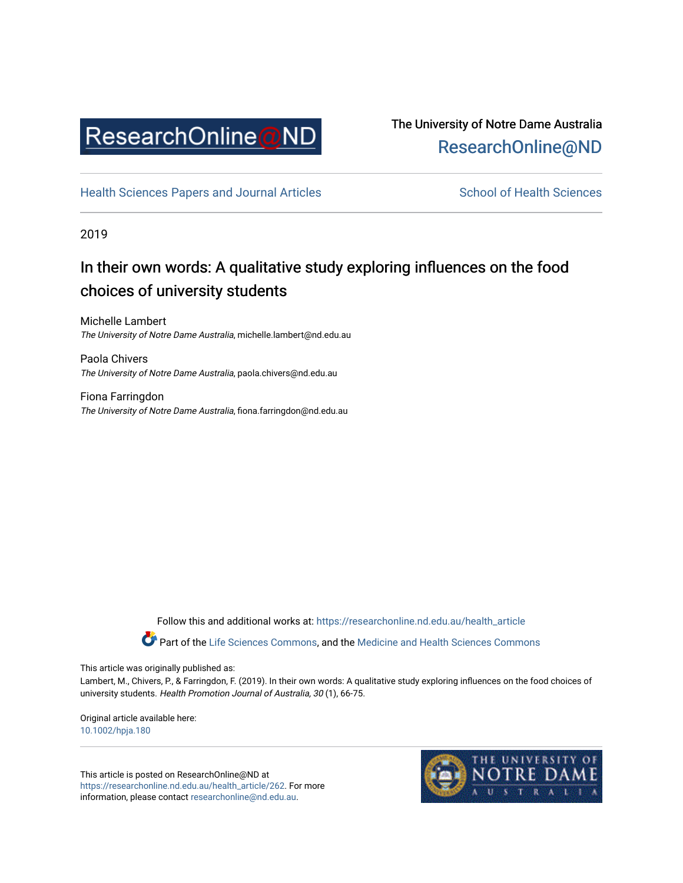

# The University of Notre Dame Australia [ResearchOnline@ND](https://researchonline.nd.edu.au/)

[Health Sciences Papers and Journal Articles](https://researchonline.nd.edu.au/health_article) School of Health Sciences

2019

# In their own words: A qualitative study exploring influences on the food choices of university students

Michelle Lambert The University of Notre Dame Australia, michelle.lambert@nd.edu.au

Paola Chivers The University of Notre Dame Australia, paola.chivers@nd.edu.au

Fiona Farringdon The University of Notre Dame Australia, fiona.farringdon@nd.edu.au

Follow this and additional works at: [https://researchonline.nd.edu.au/health\\_article](https://researchonline.nd.edu.au/health_article?utm_source=researchonline.nd.edu.au%2Fhealth_article%2F262&utm_medium=PDF&utm_campaign=PDFCoverPages)

Part of the [Life Sciences Commons](http://network.bepress.com/hgg/discipline/1016?utm_source=researchonline.nd.edu.au%2Fhealth_article%2F262&utm_medium=PDF&utm_campaign=PDFCoverPages), and the Medicine and Health Sciences Commons

This article was originally published as:

Lambert, M., Chivers, P., & Farringdon, F. (2019). In their own words: A qualitative study exploring influences on the food choices of university students. Health Promotion Journal of Australia, 30 (1), 66-75.

Original article available here: [10.1002/hpja.180](https://doi.org/10.1002/hpja.180)

This article is posted on ResearchOnline@ND at [https://researchonline.nd.edu.au/health\\_article/262](https://researchonline.nd.edu.au/health_article/262). For more information, please contact [researchonline@nd.edu.au.](mailto:researchonline@nd.edu.au)

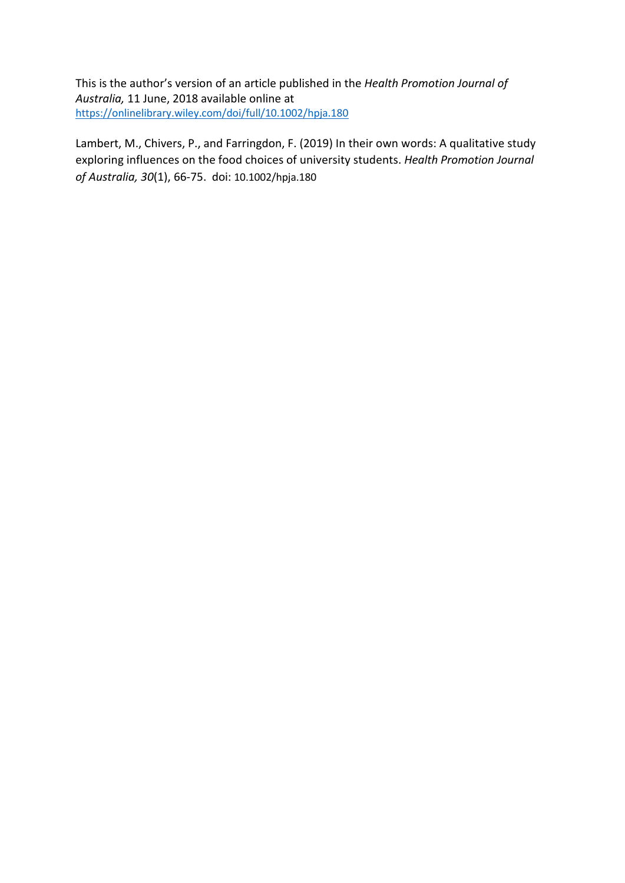This is the author's version of an article published in the *Health Promotion Journal of Australia,* 11 June, 2018 available online at <https://onlinelibrary.wiley.com/doi/full/10.1002/hpja.180>

Lambert, M., Chivers, P., and Farringdon, F. (2019) In their own words: A qualitative study exploring influences on the food choices of university students. *Health Promotion Journal of Australia, 30*(1), 66-75. doi: 10.1002/hpja.180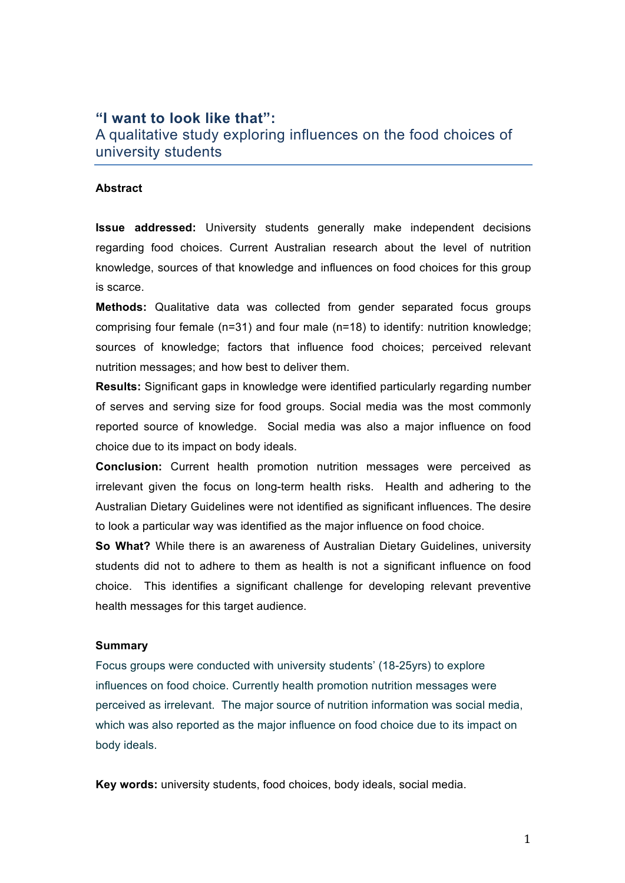# **"I want to look like that":**

A qualitative study exploring influences on the food choices of university students

#### **Abstract**

**Issue addressed:** University students generally make independent decisions regarding food choices. Current Australian research about the level of nutrition knowledge, sources of that knowledge and influences on food choices for this group is scarce.

**Methods:** Qualitative data was collected from gender separated focus groups comprising four female (n=31) and four male (n=18) to identify: nutrition knowledge; sources of knowledge; factors that influence food choices; perceived relevant nutrition messages; and how best to deliver them.

**Results:** Significant gaps in knowledge were identified particularly regarding number of serves and serving size for food groups. Social media was the most commonly reported source of knowledge. Social media was also a major influence on food choice due to its impact on body ideals.

**Conclusion:** Current health promotion nutrition messages were perceived as irrelevant given the focus on long-term health risks. Health and adhering to the Australian Dietary Guidelines were not identified as significant influences. The desire to look a particular way was identified as the major influence on food choice.

**So What?** While there is an awareness of Australian Dietary Guidelines, university students did not to adhere to them as health is not a significant influence on food choice. This identifies a significant challenge for developing relevant preventive health messages for this target audience.

#### **Summary**

Focus groups were conducted with university students' (18-25yrs) to explore influences on food choice. Currently health promotion nutrition messages were perceived as irrelevant. The major source of nutrition information was social media, which was also reported as the major influence on food choice due to its impact on body ideals.

**Key words:** university students, food choices, body ideals, social media.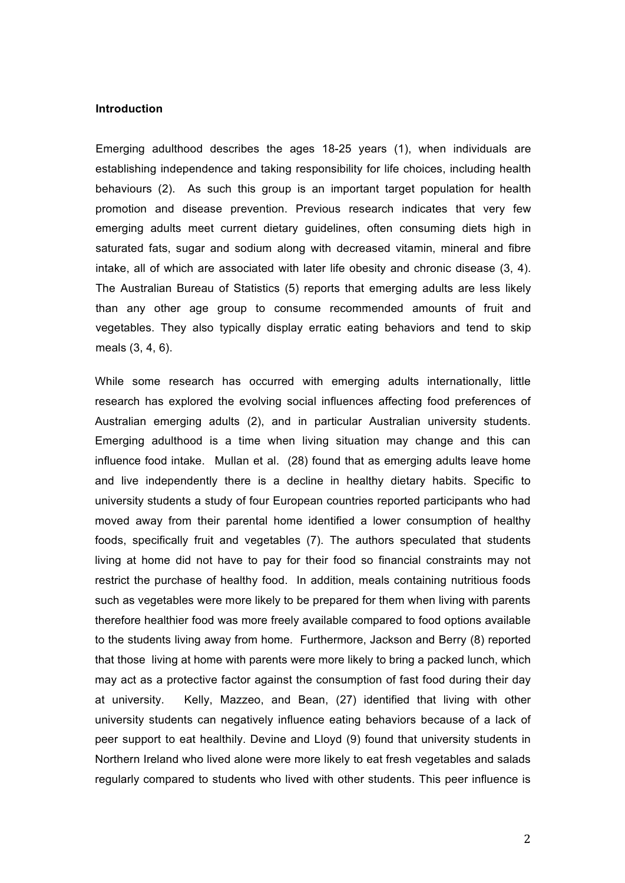#### **Introduction**

Emerging adulthood describes the ages 18-25 years (1), when individuals are establishing independence and taking responsibility for life choices, including health behaviours (2). As such this group is an important target population for health promotion and disease prevention. Previous research indicates that very few emerging adults meet current dietary guidelines, often consuming diets high in saturated fats, sugar and sodium along with decreased vitamin, mineral and fibre intake, all of which are associated with later life obesity and chronic disease (3, 4). The Australian Bureau of Statistics (5) reports that emerging adults are less likely than any other age group to consume recommended amounts of fruit and vegetables. They also typically display erratic eating behaviors and tend to skip meals (3, 4, 6).

While some research has occurred with emerging adults internationally, little research has explored the evolving social influences affecting food preferences of Australian emerging adults (2), and in particular Australian university students. Emerging adulthood is a time when living situation may change and this can influence food intake. Mullan et al. (28) found that as emerging adults leave home and live independently there is a decline in healthy dietary habits. Specific to university students a study of four European countries reported participants who had moved away from their parental home identified a lower consumption of healthy foods, specifically fruit and vegetables (7). The authors speculated that students living at home did not have to pay for their food so financial constraints may not restrict the purchase of healthy food. In addition, meals containing nutritious foods such as vegetables were more likely to be prepared for them when living with parents therefore healthier food was more freely available compared to food options available to the students living away from home. Furthermore, Jackson and Berry (8) reported that those living at home with parents were more likely to bring a packed lunch, which may act as a protective factor against the consumption of fast food during their day at university. Kelly, Mazzeo, and Bean, (27) identified that living with other university students can negatively influence eating behaviors because of a lack of peer support to eat healthily. Devine and Lloyd (9) found that university students in Northern Ireland who lived alone were more likely to eat fresh vegetables and salads regularly compared to students who lived with other students. This peer influence is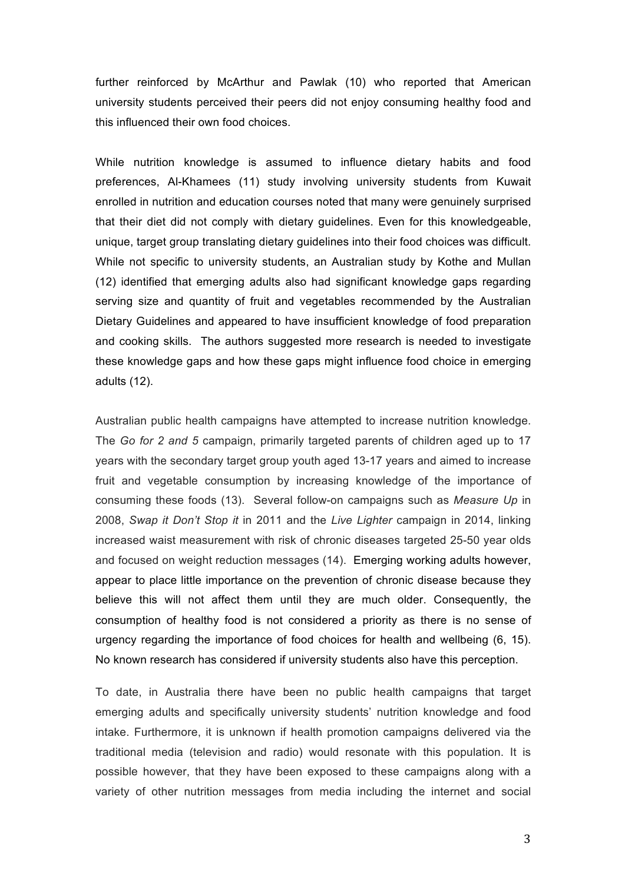further reinforced by McArthur and Pawlak (10) who reported that American university students perceived their peers did not enjoy consuming healthy food and this influenced their own food choices.

While nutrition knowledge is assumed to influence dietary habits and food preferences, Al-Khamees (11) study involving university students from Kuwait enrolled in nutrition and education courses noted that many were genuinely surprised that their diet did not comply with dietary guidelines. Even for this knowledgeable, unique, target group translating dietary guidelines into their food choices was difficult. While not specific to university students, an Australian study by Kothe and Mullan (12) identified that emerging adults also had significant knowledge gaps regarding serving size and quantity of fruit and vegetables recommended by the Australian Dietary Guidelines and appeared to have insufficient knowledge of food preparation and cooking skills. The authors suggested more research is needed to investigate these knowledge gaps and how these gaps might influence food choice in emerging adults (12).

Australian public health campaigns have attempted to increase nutrition knowledge. The *Go for 2 and 5* campaign, primarily targeted parents of children aged up to 17 years with the secondary target group youth aged 13-17 years and aimed to increase fruit and vegetable consumption by increasing knowledge of the importance of consuming these foods (13). Several follow-on campaigns such as *Measure Up* in 2008, *Swap it Don't Stop it* in 2011 and the *Live Lighter* campaign in 2014, linking increased waist measurement with risk of chronic diseases targeted 25-50 year olds and focused on weight reduction messages (14). Emerging working adults however, appear to place little importance on the prevention of chronic disease because they believe this will not affect them until they are much older. Consequently, the consumption of healthy food is not considered a priority as there is no sense of urgency regarding the importance of food choices for health and wellbeing (6, 15). No known research has considered if university students also have this perception.

To date, in Australia there have been no public health campaigns that target emerging adults and specifically university students' nutrition knowledge and food intake. Furthermore, it is unknown if health promotion campaigns delivered via the traditional media (television and radio) would resonate with this population. It is possible however, that they have been exposed to these campaigns along with a variety of other nutrition messages from media including the internet and social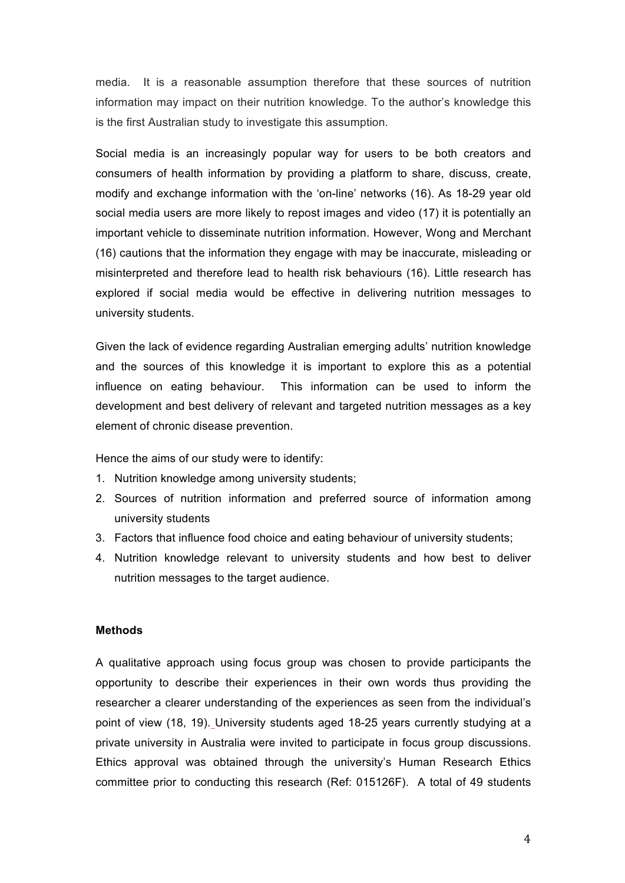media. It is a reasonable assumption therefore that these sources of nutrition information may impact on their nutrition knowledge. To the author's knowledge this is the first Australian study to investigate this assumption.

Social media is an increasingly popular way for users to be both creators and consumers of health information by providing a platform to share, discuss, create, modify and exchange information with the 'on-line' networks (16). As 18-29 year old social media users are more likely to repost images and video (17) it is potentially an important vehicle to disseminate nutrition information. However, Wong and Merchant (16) cautions that the information they engage with may be inaccurate, misleading or misinterpreted and therefore lead to health risk behaviours (16). Little research has explored if social media would be effective in delivering nutrition messages to university students.

Given the lack of evidence regarding Australian emerging adults' nutrition knowledge and the sources of this knowledge it is important to explore this as a potential influence on eating behaviour. This information can be used to inform the development and best delivery of relevant and targeted nutrition messages as a key element of chronic disease prevention.

Hence the aims of our study were to identify:

- 1. Nutrition knowledge among university students;
- 2. Sources of nutrition information and preferred source of information among university students
- 3. Factors that influence food choice and eating behaviour of university students;
- 4. Nutrition knowledge relevant to university students and how best to deliver nutrition messages to the target audience.

### **Methods**

A qualitative approach using focus group was chosen to provide participants the opportunity to describe their experiences in their own words thus providing the researcher a clearer understanding of the experiences as seen from the individual's point of view (18, 19). University students aged 18-25 years currently studying at a private university in Australia were invited to participate in focus group discussions. Ethics approval was obtained through the university's Human Research Ethics committee prior to conducting this research (Ref: 015126F). A total of 49 students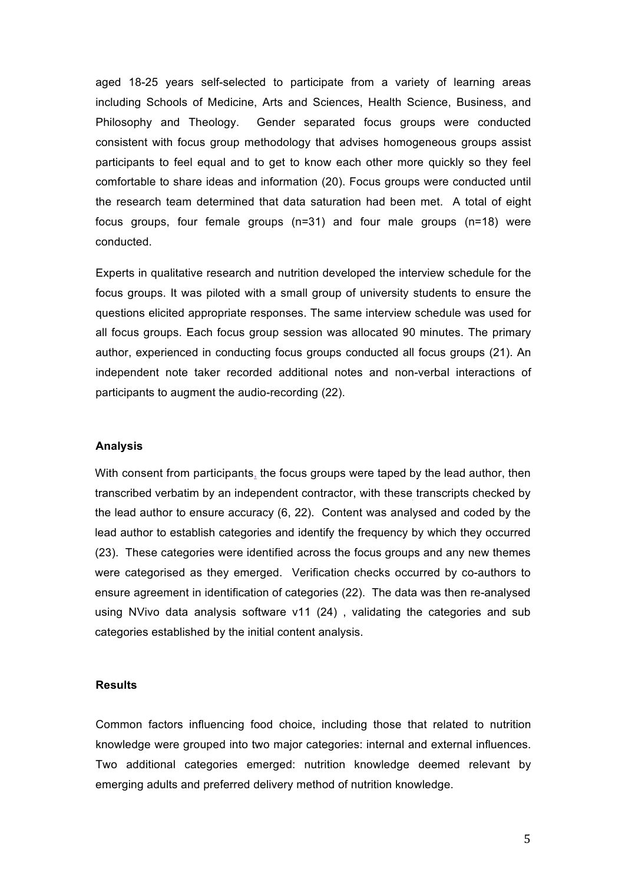aged 18-25 years self-selected to participate from a variety of learning areas including Schools of Medicine, Arts and Sciences, Health Science, Business, and Philosophy and Theology. Gender separated focus groups were conducted consistent with focus group methodology that advises homogeneous groups assist participants to feel equal and to get to know each other more quickly so they feel comfortable to share ideas and information (20). Focus groups were conducted until the research team determined that data saturation had been met. A total of eight focus groups, four female groups (n=31) and four male groups (n=18) were conducted.

Experts in qualitative research and nutrition developed the interview schedule for the focus groups. It was piloted with a small group of university students to ensure the questions elicited appropriate responses. The same interview schedule was used for all focus groups. Each focus group session was allocated 90 minutes. The primary author, experienced in conducting focus groups conducted all focus groups (21). An independent note taker recorded additional notes and non-verbal interactions of participants to augment the audio-recording (22).

## **Analysis**

With consent from participants, the focus groups were taped by the lead author, then transcribed verbatim by an independent contractor, with these transcripts checked by the lead author to ensure accuracy (6, 22). Content was analysed and coded by the lead author to establish categories and identify the frequency by which they occurred (23). These categories were identified across the focus groups and any new themes were categorised as they emerged. Verification checks occurred by co-authors to ensure agreement in identification of categories (22). The data was then re-analysed using NVivo data analysis software v11 (24) , validating the categories and sub categories established by the initial content analysis.

### **Results**

Common factors influencing food choice, including those that related to nutrition knowledge were grouped into two major categories: internal and external influences. Two additional categories emerged: nutrition knowledge deemed relevant by emerging adults and preferred delivery method of nutrition knowledge.

5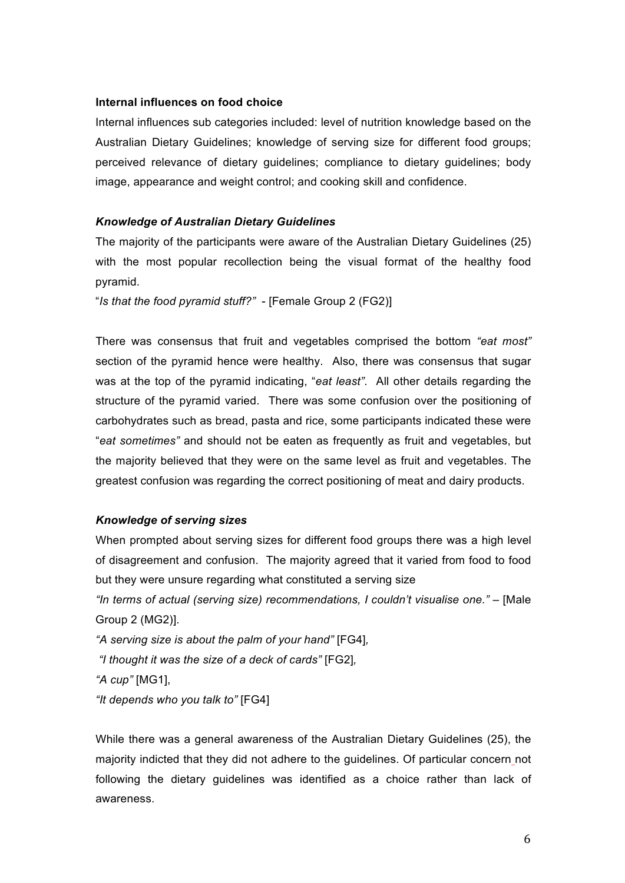### **Internal influences on food choice**

Internal influences sub categories included: level of nutrition knowledge based on the Australian Dietary Guidelines; knowledge of serving size for different food groups; perceived relevance of dietary guidelines; compliance to dietary guidelines; body image, appearance and weight control; and cooking skill and confidence.

#### *Knowledge of Australian Dietary Guidelines*

The majority of the participants were aware of the Australian Dietary Guidelines (25) with the most popular recollection being the visual format of the healthy food pyramid.

"*Is that the food pyramid stuff?"* - [Female Group 2 (FG2)]

There was consensus that fruit and vegetables comprised the bottom *"eat most"* section of the pyramid hence were healthy. Also, there was consensus that sugar was at the top of the pyramid indicating, "*eat least"*. All other details regarding the structure of the pyramid varied. There was some confusion over the positioning of carbohydrates such as bread, pasta and rice, some participants indicated these were "*eat sometimes"* and should not be eaten as frequently as fruit and vegetables, but the majority believed that they were on the same level as fruit and vegetables. The greatest confusion was regarding the correct positioning of meat and dairy products.

### *Knowledge of serving sizes*

When prompted about serving sizes for different food groups there was a high level of disagreement and confusion. The majority agreed that it varied from food to food but they were unsure regarding what constituted a serving size

*"In terms of actual (serving size) recommendations, I couldn't visualise one."* – [Male Group 2 (MG2)].

*"A serving size is about the palm of your hand"* [FG4]*,* 

*"I thought it was the size of a deck of cards"* [FG2]*,* 

*"A cup"* [MG1],

*"It depends who you talk to"* [FG4]

While there was a general awareness of the Australian Dietary Guidelines (25), the majority indicted that they did not adhere to the guidelines. Of particular concern not following the dietary guidelines was identified as a choice rather than lack of awareness.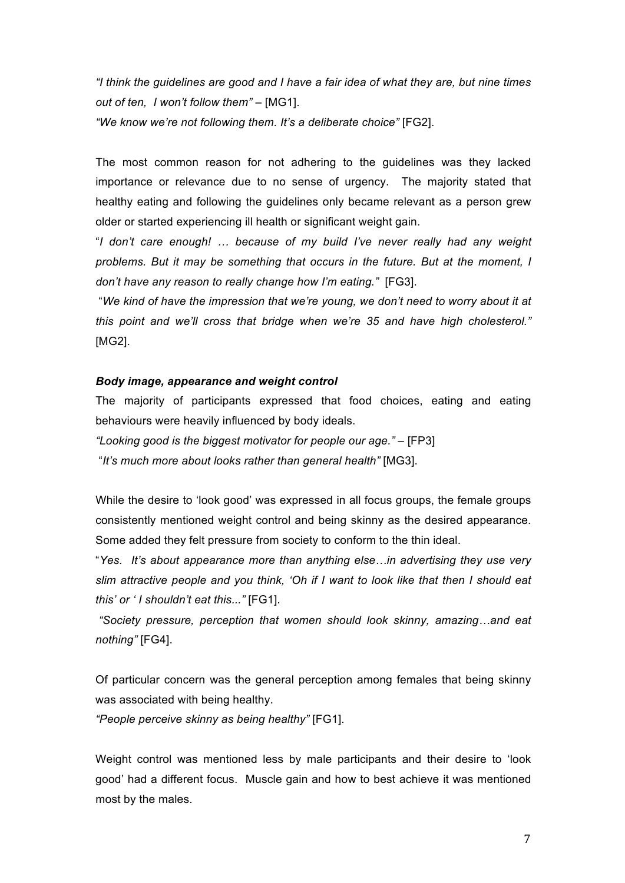*"I think the guidelines are good and I have a fair idea of what they are, but nine times out of ten, I won't follow them"* – [MG1].

*"We know we're not following them. It's a deliberate choice"* [FG2].

The most common reason for not adhering to the guidelines was they lacked importance or relevance due to no sense of urgency. The majority stated that healthy eating and following the guidelines only became relevant as a person grew older or started experiencing ill health or significant weight gain.

"*I don't care enough! … because of my build I've never really had any weight problems. But it may be something that occurs in the future. But at the moment, I don't have any reason to really change how I'm eating."* [FG3].

"*We kind of have the impression that we're young, we don't need to worry about it at this point and we'll cross that bridge when we're 35 and have high cholesterol."* [MG2].

### *Body image, appearance and weight control*

The majority of participants expressed that food choices, eating and eating behaviours were heavily influenced by body ideals.

*"Looking good is the biggest motivator for people our age."* – [FP3] "*It's much more about looks rather than general health"* [MG3].

While the desire to 'look good' was expressed in all focus groups, the female groups consistently mentioned weight control and being skinny as the desired appearance. Some added they felt pressure from society to conform to the thin ideal.

"*Yes. It's about appearance more than anything else…in advertising they use very slim attractive people and you think, 'Oh if I want to look like that then I should eat this' or ' I shouldn't eat this..."* [FG1].

*"Society pressure, perception that women should look skinny, amazing…and eat nothing"* [FG4].

Of particular concern was the general perception among females that being skinny was associated with being healthy.

*"People perceive skinny as being healthy"* [FG1].

Weight control was mentioned less by male participants and their desire to 'look good' had a different focus. Muscle gain and how to best achieve it was mentioned most by the males.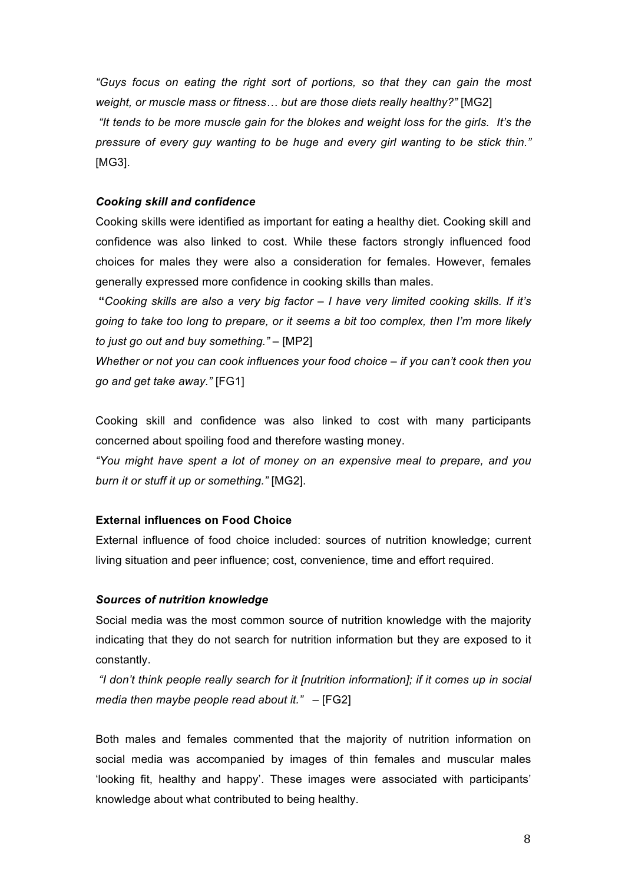*"Guys focus on eating the right sort of portions, so that they can gain the most weight, or muscle mass or fitness… but are those diets really healthy?"* [MG2] *"It tends to be more muscle gain for the blokes and weight loss for the girls. It's the pressure of every guy wanting to be huge and every girl wanting to be stick thin."*  [MG3].

### *Cooking skill and confidence*

Cooking skills were identified as important for eating a healthy diet. Cooking skill and confidence was also linked to cost. While these factors strongly influenced food choices for males they were also a consideration for females. However, females generally expressed more confidence in cooking skills than males.

**"***Cooking skills are also a very big factor – I have very limited cooking skills. If it's going to take too long to prepare, or it seems a bit too complex, then I'm more likely to just go out and buy something."* – [MP2]

*Whether or not you can cook influences your food choice – if you can't cook then you go and get take away."* [FG1]

Cooking skill and confidence was also linked to cost with many participants concerned about spoiling food and therefore wasting money.

*"You might have spent a lot of money on an expensive meal to prepare, and you burn it or stuff it up or something."* [MG2].

#### **External influences on Food Choice**

External influence of food choice included: sources of nutrition knowledge; current living situation and peer influence; cost, convenience, time and effort required.

#### *Sources of nutrition knowledge*

Social media was the most common source of nutrition knowledge with the majority indicating that they do not search for nutrition information but they are exposed to it constantly.

*"I don't think people really search for it [nutrition information]; if it comes up in social media then maybe people read about it."* – [FG2]

Both males and females commented that the majority of nutrition information on social media was accompanied by images of thin females and muscular males 'looking fit, healthy and happy'. These images were associated with participants' knowledge about what contributed to being healthy.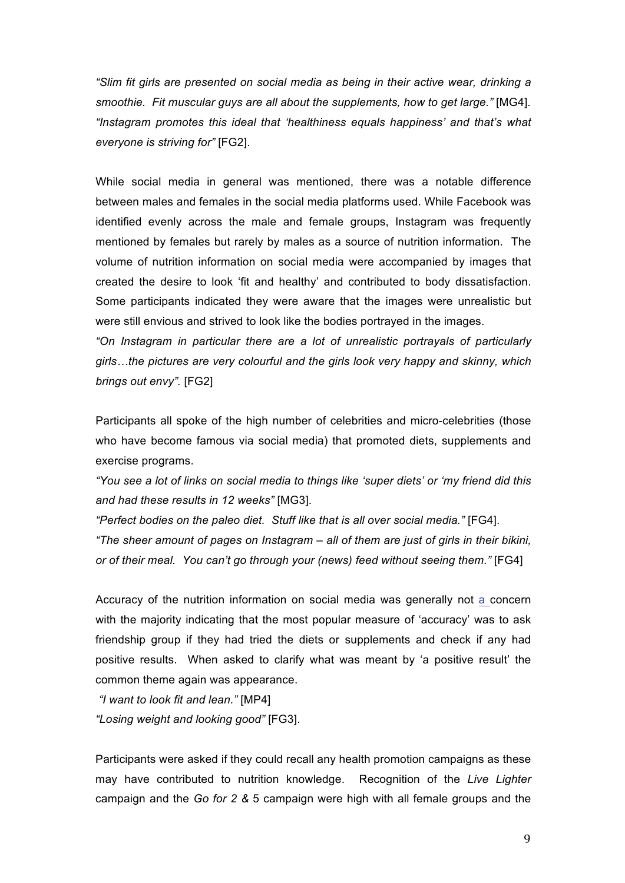*"Slim fit girls are presented on social media as being in their active wear, drinking a smoothie. Fit muscular guys are all about the supplements, how to get large."* [MG4]. *"Instagram promotes this ideal that 'healthiness equals happiness' and that's what everyone is striving for"* [FG2].

While social media in general was mentioned, there was a notable difference between males and females in the social media platforms used. While Facebook was identified evenly across the male and female groups, Instagram was frequently mentioned by females but rarely by males as a source of nutrition information. The volume of nutrition information on social media were accompanied by images that created the desire to look 'fit and healthy' and contributed to body dissatisfaction. Some participants indicated they were aware that the images were unrealistic but were still envious and strived to look like the bodies portrayed in the images.

*"On Instagram in particular there are a lot of unrealistic portrayals of particularly girls…the pictures are very colourful and the girls look very happy and skinny, which brings out envy".* [FG2]

Participants all spoke of the high number of celebrities and micro-celebrities (those who have become famous via social media) that promoted diets, supplements and exercise programs.

*"You see a lot of links on social media to things like 'super diets' or 'my friend did this and had these results in 12 weeks"* [MG3].

*"Perfect bodies on the paleo diet. Stuff like that is all over social media."* [FG4]. *"The sheer amount of pages on Instagram – all of them are just of girls in their bikini, or of their meal. You can't go through your (news) feed without seeing them."* [FG4]

Accuracy of the nutrition information on social media was generally not a concern with the majority indicating that the most popular measure of 'accuracy' was to ask friendship group if they had tried the diets or supplements and check if any had positive results. When asked to clarify what was meant by 'a positive result' the common theme again was appearance.

*"I want to look fit and lean."* [MP4] *"Losing weight and looking good"* [FG3].

Participants were asked if they could recall any health promotion campaigns as these may have contributed to nutrition knowledge. Recognition of the *Live Lighter*  campaign and the *Go for 2 &* 5 campaign were high with all female groups and the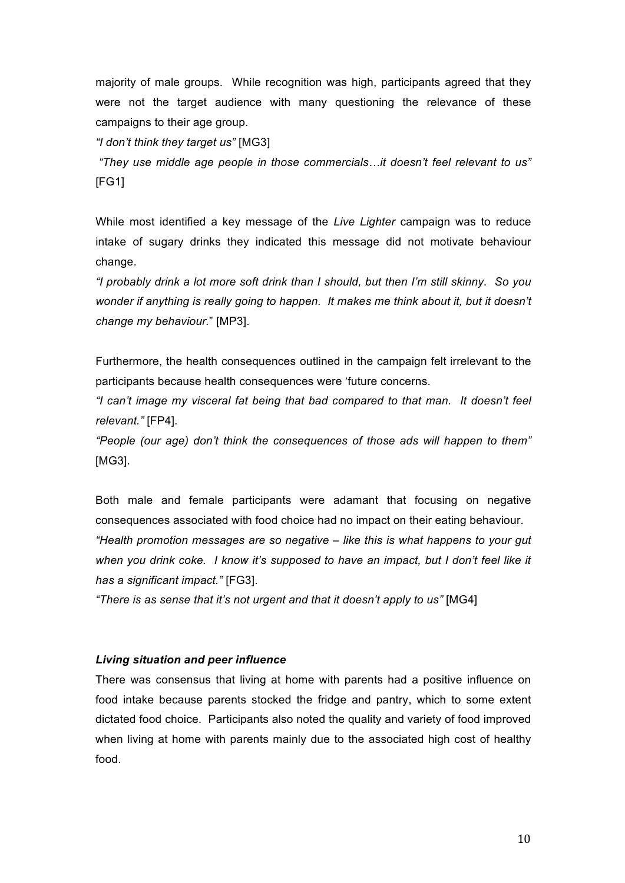majority of male groups. While recognition was high, participants agreed that they were not the target audience with many questioning the relevance of these campaigns to their age group.

*"I don't think they target us"* [MG3]

*"They use middle age people in those commercials…it doesn't feel relevant to us"* [FG1]

While most identified a key message of the *Live Lighter* campaign was to reduce intake of sugary drinks they indicated this message did not motivate behaviour change.

*"I probably drink a lot more soft drink than I should, but then I'm still skinny. So you wonder if anything is really going to happen. It makes me think about it, but it doesn't change my behaviour.*" [MP3].

Furthermore, the health consequences outlined in the campaign felt irrelevant to the participants because health consequences were 'future concerns.

*"I can't image my visceral fat being that bad compared to that man. It doesn't feel relevant."* [FP4].

*"People (our age) don't think the consequences of those ads will happen to them"*  [MG3].

Both male and female participants were adamant that focusing on negative consequences associated with food choice had no impact on their eating behaviour. *"Health promotion messages are so negative – like this is what happens to your gut*  when you drink coke. I know it's supposed to have an impact, but I don't feel like it *has a significant impact."* [FG3].

*"There is as sense that it's not urgent and that it doesn't apply to us"* [MG4]

### *Living situation and peer influence*

There was consensus that living at home with parents had a positive influence on food intake because parents stocked the fridge and pantry, which to some extent dictated food choice. Participants also noted the quality and variety of food improved when living at home with parents mainly due to the associated high cost of healthy food.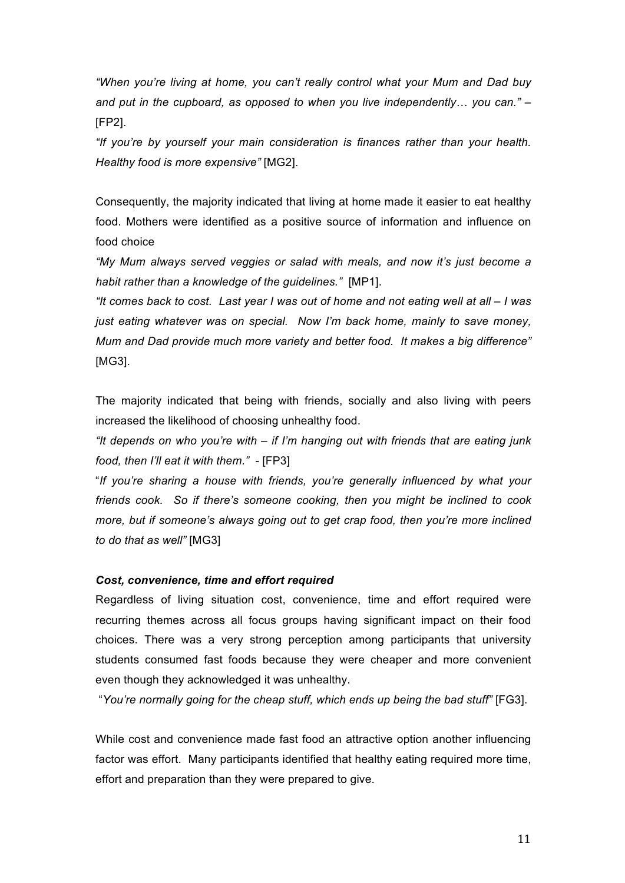*"When you're living at home, you can't really control what your Mum and Dad buy and put in the cupboard, as opposed to when you live independently… you can."* – [FP2].

*"If you're by yourself your main consideration is finances rather than your health. Healthy food is more expensive"* [MG2].

Consequently, the majority indicated that living at home made it easier to eat healthy food. Mothers were identified as a positive source of information and influence on food choice

*"My Mum always served veggies or salad with meals, and now it's just become a habit rather than a knowledge of the guidelines."* [MP1].

*"It comes back to cost. Last year I was out of home and not eating well at all – I was just eating whatever was on special. Now I'm back home, mainly to save money, Mum and Dad provide much more variety and better food. It makes a big difference"*  [MG3].

The majority indicated that being with friends, socially and also living with peers increased the likelihood of choosing unhealthy food.

*"It depends on who you're with – if I'm hanging out with friends that are eating junk food, then I'll eat it with them."* - [FP3]

"*If you're sharing a house with friends, you're generally influenced by what your friends cook. So if there's someone cooking, then you might be inclined to cook more, but if someone's always going out to get crap food, then you're more inclined to do that as well"* [MG3]

### *Cost, convenience, time and effort required*

Regardless of living situation cost, convenience, time and effort required were recurring themes across all focus groups having significant impact on their food choices. There was a very strong perception among participants that university students consumed fast foods because they were cheaper and more convenient even though they acknowledged it was unhealthy.

"*You're normally going for the cheap stuff, which ends up being the bad stuff"* [FG3].

While cost and convenience made fast food an attractive option another influencing factor was effort. Many participants identified that healthy eating required more time, effort and preparation than they were prepared to give.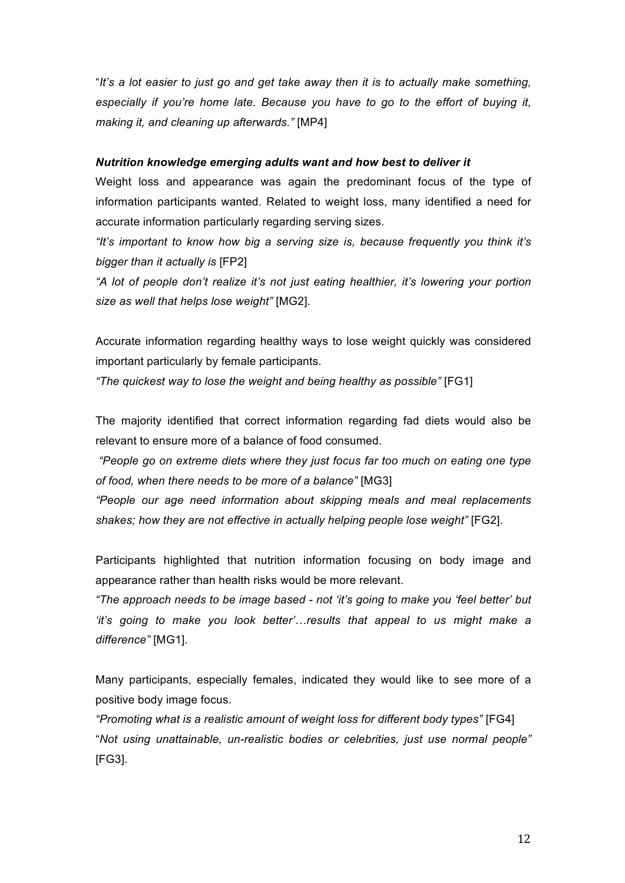"*It's a lot easier to just go and get take away then it is to actually make something, especially if you're home late. Because you have to go to the effort of buying it, making it, and cleaning up afterwards."* [MP4]

#### *Nutrition knowledge emerging adults want and how best to deliver it*

Weight loss and appearance was again the predominant focus of the type of information participants wanted. Related to weight loss, many identified a need for accurate information particularly regarding serving sizes.

*"It's important to know how big a serving size is, because frequently you think it's bigger than it actually is* [FP2]

*"A lot of people don't realize it's not just eating healthier, it's lowering your portion size as well that helps lose weight"* [MG2].

Accurate information regarding healthy ways to lose weight quickly was considered important particularly by female participants.

*"The quickest way to lose the weight and being healthy as possible"* [FG1]

The majority identified that correct information regarding fad diets would also be relevant to ensure more of a balance of food consumed.

*"People go on extreme diets where they just focus far too much on eating one type of food, when there needs to be more of a balance"* [MG3]

*"People our age need information about skipping meals and meal replacements shakes; how they are not effective in actually helping people lose weight"* [FG2].

Participants highlighted that nutrition information focusing on body image and appearance rather than health risks would be more relevant.

*"The approach needs to be image based - not 'it's going to make you 'feel better' but 'it's going to make you look better'…results that appeal to us might make a difference"* [MG1].

Many participants, especially females, indicated they would like to see more of a positive body image focus.

*"Promoting what is a realistic amount of weight loss for different body types"* [FG4] "*Not using unattainable, un-realistic bodies or celebrities, just use normal people"* [FG3].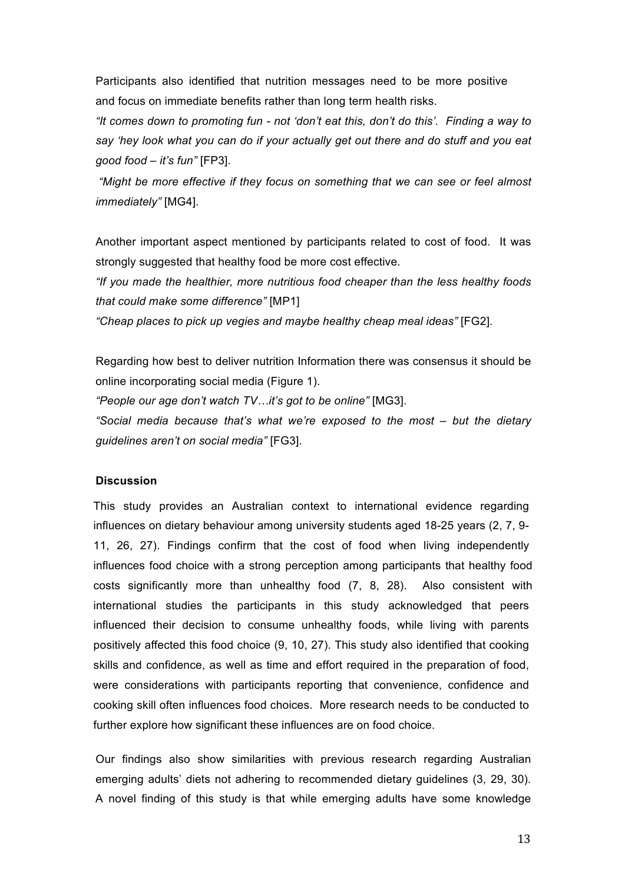Participants also identified that nutrition messages need to be more positive and focus on immediate benefits rather than long term health risks.

*"It comes down to promoting fun - not 'don't eat this, don't do this'. Finding a way to say 'hey look what you can do if your actually get out there and do stuff and you eat good food – it's fun"* [FP3].

*"Might be more effective if they focus on something that we can see or feel almost immediately"* [MG4].

Another important aspect mentioned by participants related to cost of food. It was strongly suggested that healthy food be more cost effective.

*"If you made the healthier, more nutritious food cheaper than the less healthy foods that could make some difference"* [MP1]

*"Cheap places to pick up vegies and maybe healthy cheap meal ideas"* [FG2].

Regarding how best to deliver nutrition Information there was consensus it should be online incorporating social media (Figure 1).

*"People our age don't watch TV…it's got to be online"* [MG3].

*"Social media because that's what we're exposed to the most – but the dietary guidelines aren't on social media"* [FG3].

# **Discussion**

This study provides an Australian context to international evidence regarding influences on dietary behaviour among university students aged 18-25 years (2, 7, 9- 11, 26, 27). Findings confirm that the cost of food when living independently influences food choice with a strong perception among participants that healthy food costs significantly more than unhealthy food (7, 8, 28). Also consistent with international studies the participants in this study acknowledged that peers influenced their decision to consume unhealthy foods, while living with parents positively affected this food choice (9, 10, 27). This study also identified that cooking skills and confidence, as well as time and effort required in the preparation of food, were considerations with participants reporting that convenience, confidence and cooking skill often influences food choices. More research needs to be conducted to further explore how significant these influences are on food choice.

Our findings also show similarities with previous research regarding Australian emerging adults' diets not adhering to recommended dietary guidelines (3, 29, 30). A novel finding of this study is that while emerging adults have some knowledge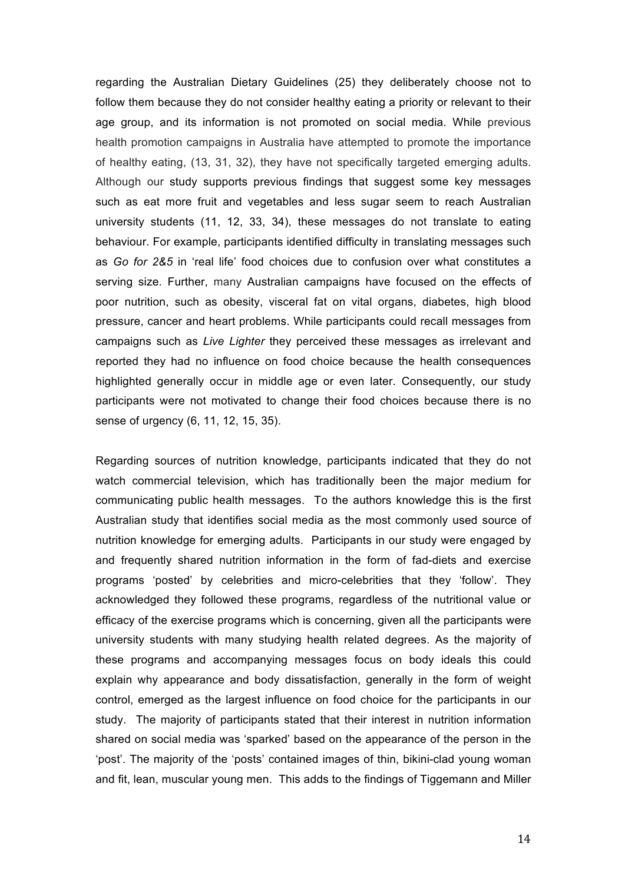regarding the Australian Dietary Guidelines (25) they deliberately choose not to follow them because they do not consider healthy eating a priority or relevant to their age group, and its information is not promoted on social media. While previous health promotion campaigns in Australia have attempted to promote the importance of healthy eating, (13, 31, 32), they have not specifically targeted emerging adults. Although our study supports previous findings that suggest some key messages such as eat more fruit and vegetables and less sugar seem to reach Australian university students (11, 12, 33, 34), these messages do not translate to eating behaviour. For example, participants identified difficulty in translating messages such as *Go for 2&5* in 'real life' food choices due to confusion over what constitutes a serving size. Further, many Australian campaigns have focused on the effects of poor nutrition, such as obesity, visceral fat on vital organs, diabetes, high blood pressure, cancer and heart problems. While participants could recall messages from campaigns such as *Live Lighter* they perceived these messages as irrelevant and reported they had no influence on food choice because the health consequences highlighted generally occur in middle age or even later. Consequently, our study participants were not motivated to change their food choices because there is no sense of urgency (6, 11, 12, 15, 35).

Regarding sources of nutrition knowledge, participants indicated that they do not watch commercial television, which has traditionally been the major medium for communicating public health messages. To the authors knowledge this is the first Australian study that identifies social media as the most commonly used source of nutrition knowledge for emerging adults. Participants in our study were engaged by and frequently shared nutrition information in the form of fad-diets and exercise programs 'posted' by celebrities and micro-celebrities that they 'follow'. They acknowledged they followed these programs, regardless of the nutritional value or efficacy of the exercise programs which is concerning, given all the participants were university students with many studying health related degrees. As the majority of these programs and accompanying messages focus on body ideals this could explain why appearance and body dissatisfaction, generally in the form of weight control, emerged as the largest influence on food choice for the participants in our study. The majority of participants stated that their interest in nutrition information shared on social media was 'sparked' based on the appearance of the person in the 'post'. The majority of the 'posts' contained images of thin, bikini-clad young woman and fit, lean, muscular young men. This adds to the findings of Tiggemann and Miller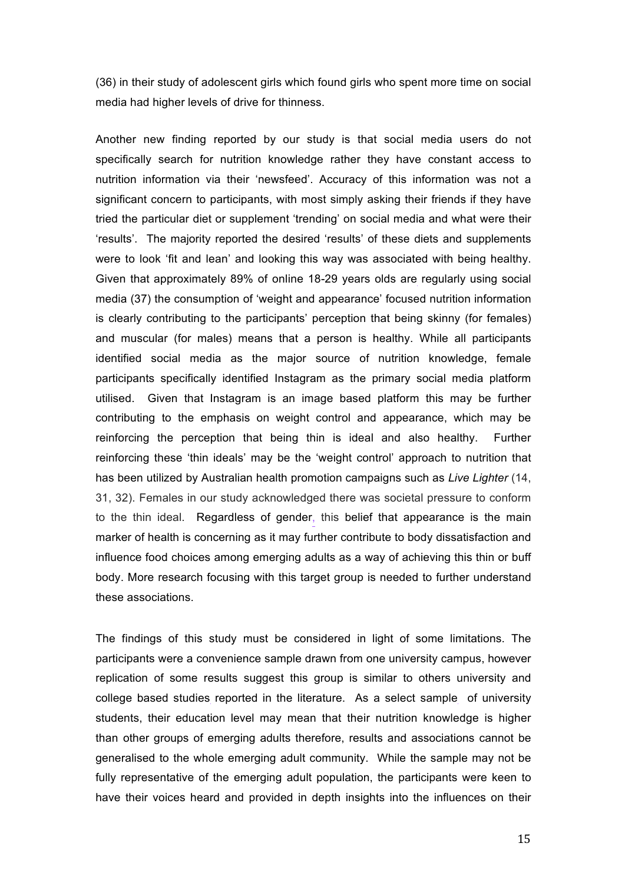(36) in their study of adolescent girls which found girls who spent more time on social media had higher levels of drive for thinness.

Another new finding reported by our study is that social media users do not specifically search for nutrition knowledge rather they have constant access to nutrition information via their 'newsfeed'. Accuracy of this information was not a significant concern to participants, with most simply asking their friends if they have tried the particular diet or supplement 'trending' on social media and what were their 'results'. The majority reported the desired 'results' of these diets and supplements were to look 'fit and lean' and looking this way was associated with being healthy. Given that approximately 89% of online 18-29 years olds are regularly using social media (37) the consumption of 'weight and appearance' focused nutrition information is clearly contributing to the participants' perception that being skinny (for females) and muscular (for males) means that a person is healthy. While all participants identified social media as the major source of nutrition knowledge, female participants specifically identified Instagram as the primary social media platform utilised. Given that Instagram is an image based platform this may be further contributing to the emphasis on weight control and appearance, which may be reinforcing the perception that being thin is ideal and also healthy. Further reinforcing these 'thin ideals' may be the 'weight control' approach to nutrition that has been utilized by Australian health promotion campaigns such as *Live Lighter* (14, 31, 32). Females in our study acknowledged there was societal pressure to conform to the thin ideal. Regardless of gender, this belief that appearance is the main marker of health is concerning as it may further contribute to body dissatisfaction and influence food choices among emerging adults as a way of achieving this thin or buff body. More research focusing with this target group is needed to further understand these associations.

The findings of this study must be considered in light of some limitations. The participants were a convenience sample drawn from one university campus, however replication of some results suggest this group is similar to others university and college based studies reported in the literature. As a select sample of university students, their education level may mean that their nutrition knowledge is higher than other groups of emerging adults therefore, results and associations cannot be generalised to the whole emerging adult community. While the sample may not be fully representative of the emerging adult population, the participants were keen to have their voices heard and provided in depth insights into the influences on their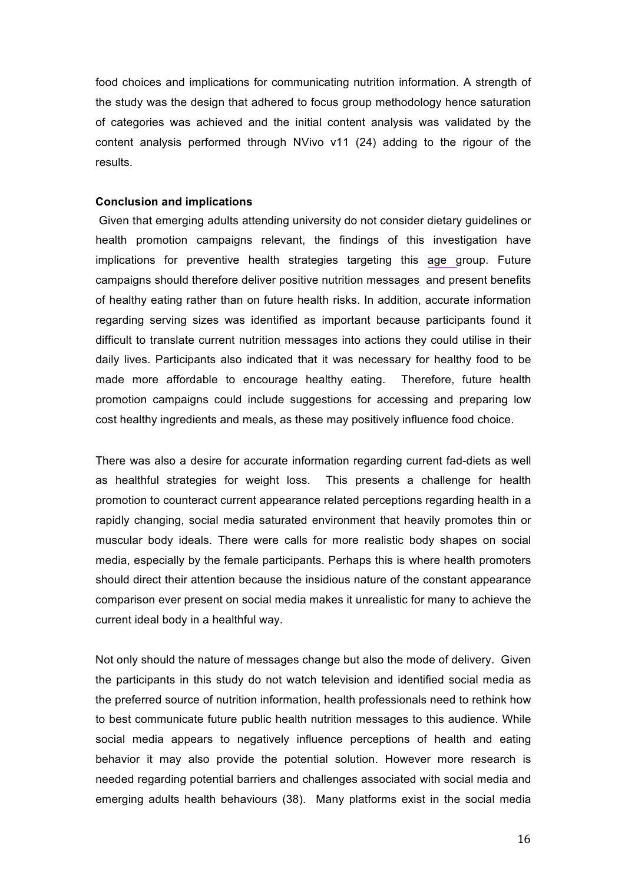food choices and implications for communicating nutrition information. A strength of the study was the design that adhered to focus group methodology hence saturation of categories was achieved and the initial content analysis was validated by the content analysis performed through NVivo v11 (24) adding to the rigour of the results.

## **Conclusion and implications**

Given that emerging adults attending university do not consider dietary guidelines or health promotion campaigns relevant, the findings of this investigation have implications for preventive health strategies targeting this age group. Future campaigns should therefore deliver positive nutrition messages and present benefits of healthy eating rather than on future health risks. In addition, accurate information regarding serving sizes was identified as important because participants found it difficult to translate current nutrition messages into actions they could utilise in their daily lives. Participants also indicated that it was necessary for healthy food to be made more affordable to encourage healthy eating. Therefore, future health promotion campaigns could include suggestions for accessing and preparing low cost healthy ingredients and meals, as these may positively influence food choice.

There was also a desire for accurate information regarding current fad-diets as well as healthful strategies for weight loss. This presents a challenge for health promotion to counteract current appearance related perceptions regarding health in a rapidly changing, social media saturated environment that heavily promotes thin or muscular body ideals. There were calls for more realistic body shapes on social media, especially by the female participants. Perhaps this is where health promoters should direct their attention because the insidious nature of the constant appearance comparison ever present on social media makes it unrealistic for many to achieve the current ideal body in a healthful way.

Not only should the nature of messages change but also the mode of delivery. Given the participants in this study do not watch television and identified social media as the preferred source of nutrition information, health professionals need to rethink how to best communicate future public health nutrition messages to this audience. While social media appears to negatively influence perceptions of health and eating behavior it may also provide the potential solution. However more research is needed regarding potential barriers and challenges associated with social media and emerging adults health behaviours (38). Many platforms exist in the social media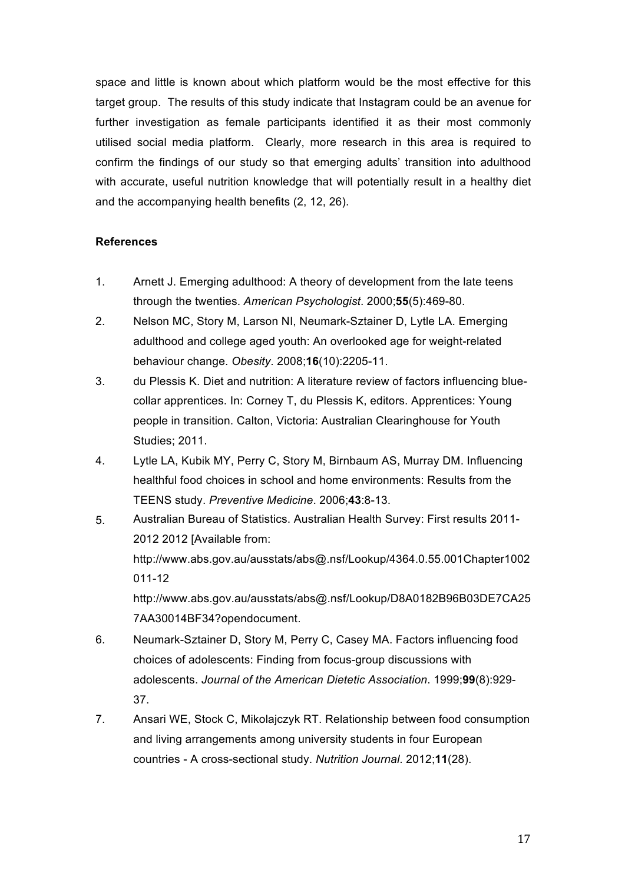space and little is known about which platform would be the most effective for this target group. The results of this study indicate that Instagram could be an avenue for further investigation as female participants identified it as their most commonly utilised social media platform. Clearly, more research in this area is required to confirm the findings of our study so that emerging adults' transition into adulthood with accurate, useful nutrition knowledge that will potentially result in a healthy diet and the accompanying health benefits (2, 12, 26).

# **References**

- 1. Arnett J. Emerging adulthood: A theory of development from the late teens through the twenties. *American Psychologist*. 2000;**55**(5):469-80.
- 2. Nelson MC, Story M, Larson NI, Neumark-Sztainer D, Lytle LA. Emerging adulthood and college aged youth: An overlooked age for weight-related behaviour change. *Obesity*. 2008;**16**(10):2205-11.
- 3. du Plessis K. Diet and nutrition: A literature review of factors influencing bluecollar apprentices. In: Corney T, du Plessis K, editors. Apprentices: Young people in transition. Calton, Victoria: Australian Clearinghouse for Youth Studies; 2011.
- 4. Lytle LA, Kubik MY, Perry C, Story M, Birnbaum AS, Murray DM. Influencing healthful food choices in school and home environments: Results from the TEENS study. *Preventive Medicine*. 2006;**43**:8-13.
- 5. Australian Bureau of Statistics. Australian Health Survey: First results 2011- 2012 2012 [Available from: http://www.abs.gov.au/ausstats/abs@.nsf/Lookup/4364.0.55.001Chapter1002 011-12 http://www.abs.gov.au/ausstats/abs@.nsf/Lookup/D8A0182B96B03DE7CA25 7AA30014BF34?opendocument.
- 6. Neumark-Sztainer D, Story M, Perry C, Casey MA. Factors influencing food choices of adolescents: Finding from focus-group discussions with adolescents. *Journal of the American Dietetic Association*. 1999;**99**(8):929- 37.
- 7. Ansari WE, Stock C, Mikolajczyk RT. Relationship between food consumption and living arrangements among university students in four European countries - A cross-sectional study. *Nutrition Journal*. 2012;**11**(28).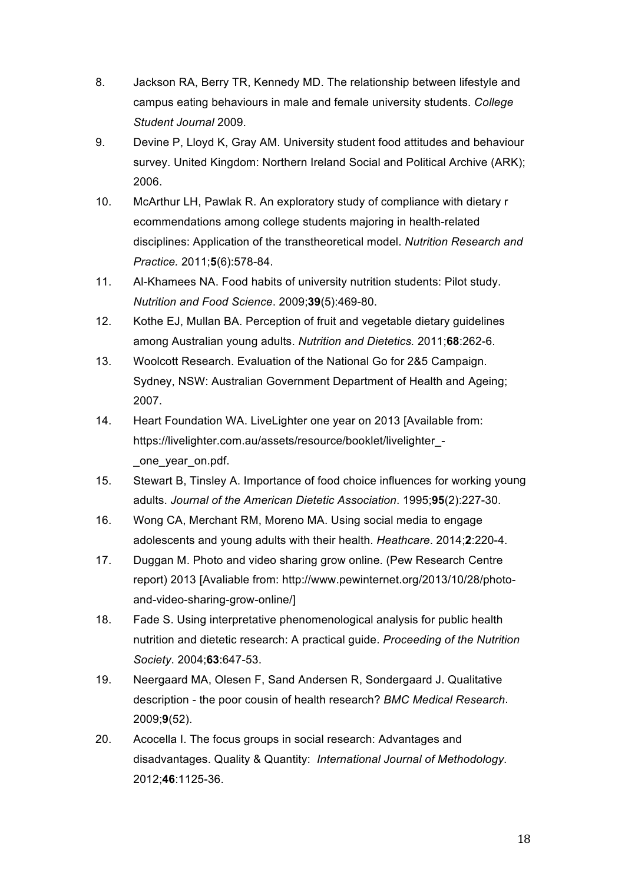- 8. Jackson RA, Berry TR, Kennedy MD. The relationship between lifestyle and campus eating behaviours in male and female university students. *College Student Journal* 2009.
- 9. Devine P, Lloyd K, Gray AM. University student food attitudes and behaviour survey. United Kingdom: Northern Ireland Social and Political Archive (ARK); 2006.
- 10. McArthur LH, Pawlak R. An exploratory study of compliance with dietary r ecommendations among college students majoring in health-related disciplines: Application of the transtheoretical model. *Nutrition Research and Practice.* 2011;**5**(6):578-84.
- 11. Al-Khamees NA. Food habits of university nutrition students: Pilot study. *Nutrition and Food Science*. 2009;**39**(5):469-80.
- 12. Kothe EJ, Mullan BA. Perception of fruit and vegetable dietary guidelines among Australian young adults. *Nutrition and Dietetics.* 2011;**68**:262-6.
- 13. Woolcott Research. Evaluation of the National Go for 2&5 Campaign. Sydney, NSW: Australian Government Department of Health and Ageing; 2007.
- 14. Heart Foundation WA. LiveLighter one year on 2013 [Available from: https://livelighter.com.au/assets/resource/booklet/livelighter\_- \_one\_year\_on.pdf.
- 15. Stewart B, Tinsley A. Importance of food choice influences for working young adults. *Journal of the American Dietetic Association*. 1995;**95**(2):227-30.
- 16. Wong CA, Merchant RM, Moreno MA. Using social media to engage adolescents and young adults with their health. *Heathcare*. 2014;**2**:220-4.
- 17. Duggan M. Photo and video sharing grow online. (Pew Research Centre report) 2013 [Avaliable from: http://www.pewinternet.org/2013/10/28/photoand-video-sharing-grow-online/]
- 18. Fade S. Using interpretative phenomenological analysis for public health nutrition and dietetic research: A practical guide. *Proceeding of the Nutrition Society*. 2004;**63**:647-53.
- 19. Neergaard MA, Olesen F, Sand Andersen R, Sondergaard J. Qualitative description - the poor cousin of health research? *BMC Medical Research*. 2009;**9**(52).
- 20. Acocella I. The focus groups in social research: Advantages and disadvantages. Quality & Quantity: *International Journal of Methodology*. 2012;**46**:1125-36.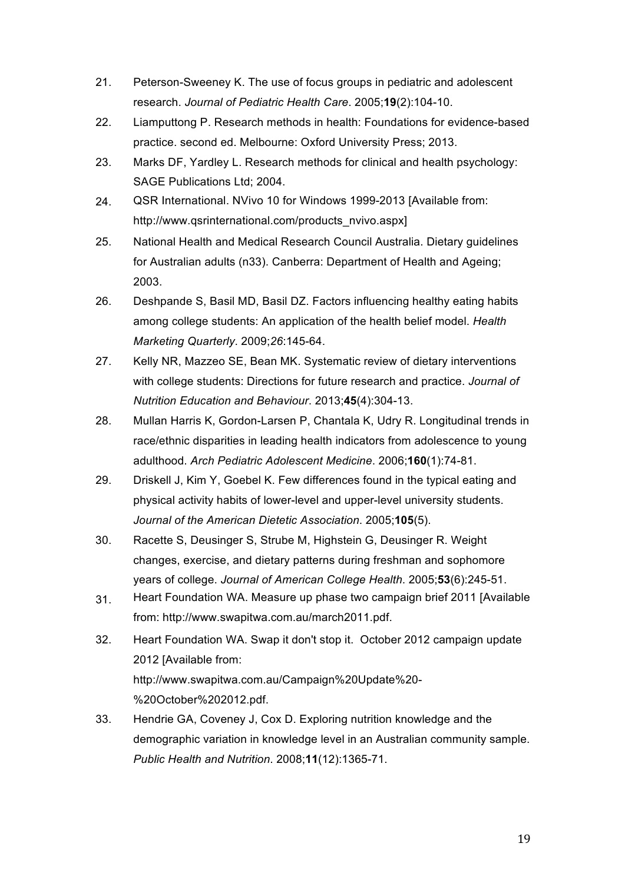- 21. Peterson-Sweeney K. The use of focus groups in pediatric and adolescent research. *Journal of Pediatric Health Care*. 2005;**19**(2):104-10.
- 22. Liamputtong P. Research methods in health: Foundations for evidence-based practice. second ed. Melbourne: Oxford University Press; 2013.
- 23. Marks DF, Yardley L. Research methods for clinical and health psychology: SAGE Publications Ltd; 2004.
- 24. QSR International. NVivo 10 for Windows 1999-2013 [Available from: http://www.qsrinternational.com/products\_nvivo.aspx]
- 25. National Health and Medical Research Council Australia. Dietary guidelines for Australian adults (n33). Canberra: Department of Health and Ageing; 2003.
- 26. Deshpande S, Basil MD, Basil DZ. Factors influencing healthy eating habits among college students: An application of the health belief model. *Health Marketing Quarterly*. 2009;*26*:145-64.
- 27. Kelly NR, Mazzeo SE, Bean MK. Systematic review of dietary interventions with college students: Directions for future research and practice. *Journal of Nutrition Education and Behaviour*. 2013;**45**(4):304-13.
- 28. Mullan Harris K, Gordon-Larsen P, Chantala K, Udry R. Longitudinal trends in race/ethnic disparities in leading health indicators from adolescence to young adulthood. *Arch Pediatric Adolescent Medicine*. 2006;**160**(1):74-81.
- 29. Driskell J, Kim Y, Goebel K. Few differences found in the typical eating and physical activity habits of lower-level and upper-level university students. *Journal of the American Dietetic Association*. 2005;**105**(5).
- 30. Racette S, Deusinger S, Strube M, Highstein G, Deusinger R. Weight changes, exercise, and dietary patterns during freshman and sophomore years of college. *Journal of American College Health*. 2005;**53**(6):245-51.
- 31. Heart Foundation WA. Measure up phase two campaign brief 2011 [Available from: http://www.swapitwa.com.au/march2011.pdf.
- 32. Heart Foundation WA. Swap it don't stop it. October 2012 campaign update 2012 [Available from: http://www.swapitwa.com.au/Campaign%20Update%20- %20October%202012.pdf.
- 33. Hendrie GA, Coveney J, Cox D. Exploring nutrition knowledge and the demographic variation in knowledge level in an Australian community sample. *Public Health and Nutrition*. 2008;**11**(12):1365-71.